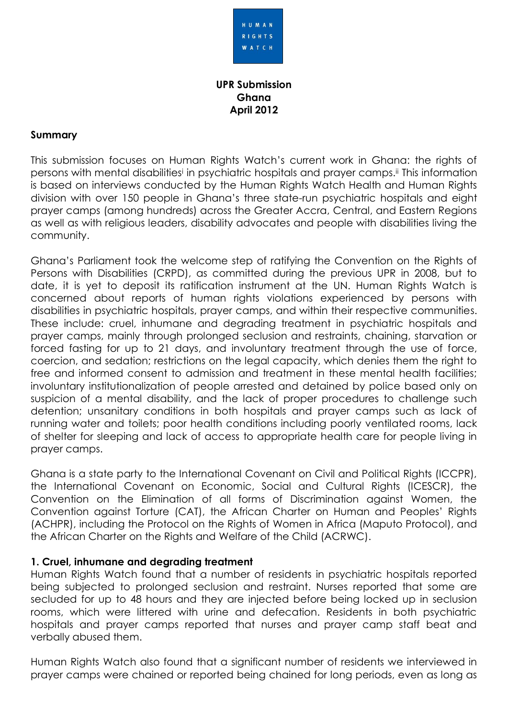

# **UPR Submission Ghana April 2012**

## **Summary**

This submission focuses on Human Rights Watch's current work in Ghana: the rights of persons with mental disabilities<sup>i</sup> in psychiatric hospitals and prayer camps.<sup>ii</sup> This information is based on interviews conducted by the Human Rights Watch Health and Human Rights division with over 150 people in Ghana's three state-run psychiatric hospitals and eight prayer camps (among hundreds) across the Greater Accra, Central, and Eastern Regions as well as with religious leaders, disability advocates and people with disabilities living the community.

Ghana's Parliament took the welcome step of ratifying the Convention on the Rights of Persons with Disabilities (CRPD), as committed during the previous UPR in 2008, but to date, it is yet to deposit its ratification instrument at the UN. Human Rights Watch is concerned about reports of human rights violations experienced by persons with disabilities in psychiatric hospitals, prayer camps, and within their respective communities. These include: cruel, inhumane and degrading treatment in psychiatric hospitals and prayer camps, mainly through prolonged seclusion and restraints, chaining, starvation or forced fasting for up to 21 days, and involuntary treatment through the use of force, coercion, and sedation; restrictions on the legal capacity, which denies them the right to free and informed consent to admission and treatment in these mental health facilities; involuntary institutionalization of people arrested and detained by police based only on suspicion of a mental disability, and the lack of proper procedures to challenge such detention; unsanitary conditions in both hospitals and prayer camps such as lack of running water and toilets; poor health conditions including poorly ventilated rooms, lack of shelter for sleeping and lack of access to appropriate health care for people living in prayer camps.

Ghana is a state party to the International Covenant on Civil and Political Rights (ICCPR), the International Covenant on Economic, Social and Cultural Rights (ICESCR), the Convention on the Elimination of all forms of Discrimination against Women, the Convention against Torture (CAT), the African Charter on Human and Peoples' Rights (ACHPR), including the Protocol on the Rights of Women in Africa (Maputo Protocol), and the African Charter on the Rights and Welfare of the Child (ACRWC).

## **1. Cruel, inhumane and degrading treatment**

Human Rights Watch found that a number of residents in psychiatric hospitals reported being subjected to prolonged seclusion and restraint. Nurses reported that some are secluded for up to 48 hours and they are injected before being locked up in seclusion rooms, which were littered with urine and defecation. Residents in both psychiatric hospitals and prayer camps reported that nurses and prayer camp staff beat and verbally abused them.

Human Rights Watch also found that a significant number of residents we interviewed in prayer camps were chained or reported being chained for long periods, even as long as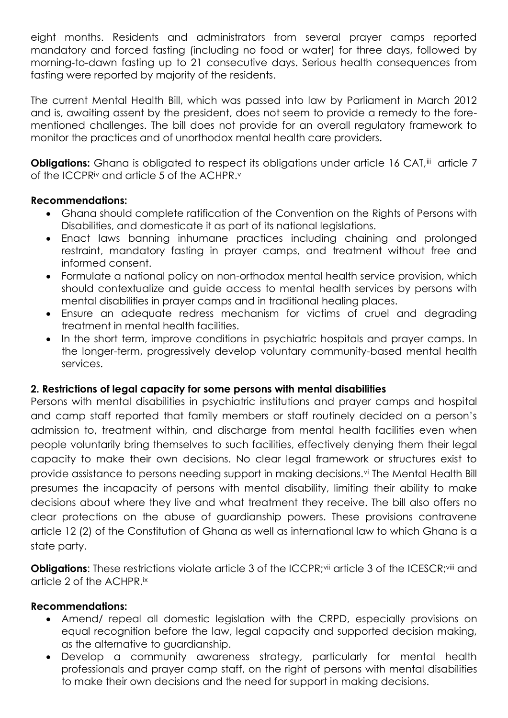eight months. Residents and administrators from several prayer camps reported mandatory and forced fasting (including no food or water) for three days, followed by morning-to-dawn fasting up to 21 consecutive days. Serious health consequences from fasting were reported by majority of the residents.

The current Mental Health Bill, which was passed into law by Parliament in March 2012 and is, awaiting assent by the president, does not seem to provide a remedy to the forementioned challenges. The bill does not provide for an overall regulatory framework to monitor the practices and of unorthodox mental health care providers.

**Obligations:** Ghana is obligated to respect its obligations under article 16 CAT,<sup>iii</sup> article 7 of the ICCPR<sup>iv</sup> and article 5 of the ACHPR.<sup>v</sup>

# **Recommendations:**

- Ghana should complete ratification of the Convention on the Rights of Persons with Disabilities, and domesticate it as part of its national legislations.
- Enact laws banning inhumane practices including chaining and prolonged restraint, mandatory fasting in prayer camps, and treatment without free and informed consent.
- Formulate a national policy on non-orthodox mental health service provision, which should contextualize and guide access to mental health services by persons with mental disabilities in prayer camps and in traditional healing places.
- Ensure an adequate redress mechanism for victims of cruel and degrading treatment in mental health facilities.
- In the short term, improve conditions in psychiatric hospitals and prayer camps. In the longer-term, progressively develop voluntary community-based mental health services.

## **2. Restrictions of legal capacity for some persons with mental disabilities**

Persons with mental disabilities in psychiatric institutions and prayer camps and hospital and camp staff reported that family members or staff routinely decided on a person's admission to, treatment within, and discharge from mental health facilities even when people voluntarily bring themselves to such facilities, effectively denying them their legal capacity to make their own decisions. No clear legal framework or structures exist to provide assistance to persons needing support in making decisions.<sup>vi</sup> The Mental Health Bill presumes the incapacity of persons with mental disability, limiting their ability to make decisions about where they live and what treatment they receive. The bill also offers no clear protections on the abuse of guardianship powers. These provisions contravene article 12 (2) of the Constitution of Ghana as well as international law to which Ghana is a state party.

**Obligations:** These restrictions violate article 3 of the ICCPR; vii article 3 of the ICESCR; viii and article 2 of the ACHPR.ix

## **Recommendations:**

- Amend/ repeal all domestic legislation with the CRPD, especially provisions on equal recognition before the law, legal capacity and supported decision making, as the alternative to guardianship.
- Develop a community awareness strategy, particularly for mental health professionals and prayer camp staff, on the right of persons with mental disabilities to make their own decisions and the need for support in making decisions.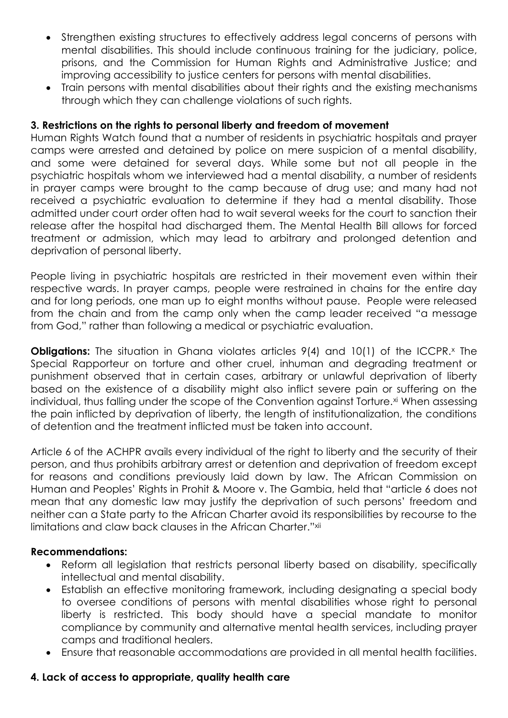- Strengthen existing structures to effectively address legal concerns of persons with mental disabilities. This should include continuous training for the judiciary, police, prisons, and the Commission for Human Rights and Administrative Justice; and improving accessibility to justice centers for persons with mental disabilities.
- Train persons with mental disabilities about their rights and the existing mechanisms through which they can challenge violations of such rights.

# **3. Restrictions on the rights to personal liberty and freedom of movement**

Human Rights Watch found that a number of residents in psychiatric hospitals and prayer camps were arrested and detained by police on mere suspicion of a mental disability, and some were detained for several days. While some but not all people in the psychiatric hospitals whom we interviewed had a mental disability, a number of residents in prayer camps were brought to the camp because of drug use; and many had not received a psychiatric evaluation to determine if they had a mental disability. Those admitted under court order often had to wait several weeks for the court to sanction their release after the hospital had discharged them. The Mental Health Bill allows for forced treatment or admission, which may lead to arbitrary and prolonged detention and deprivation of personal liberty.

People living in psychiatric hospitals are restricted in their movement even within their respective wards. In prayer camps, people were restrained in chains for the entire day and for long periods, one man up to eight months without pause. People were released from the chain and from the camp only when the camp leader received "a message from God," rather than following a medical or psychiatric evaluation.

**Obligations:** The situation in Ghana violates articles 9(4) and 10(1) of the ICCPR.<sup>x</sup> The Special Rapporteur on torture and other cruel, inhuman and degrading treatment or punishment observed that in certain cases, arbitrary or unlawful deprivation of liberty based on the existence of a disability might also inflict severe pain or suffering on the individual, thus falling under the scope of the Convention against Torture.<sup>xi</sup> When assessing the pain inflicted by deprivation of liberty, the length of institutionalization, the conditions of detention and the treatment inflicted must be taken into account.

Article 6 of the ACHPR avails every individual of the right to liberty and the security of their person, and thus prohibits arbitrary arrest or detention and deprivation of freedom except for reasons and conditions previously laid down by law. The African Commission on Human and Peoples' Rights in Prohit & Moore v. The Gambia, held that "article 6 does not mean that any domestic law may justify the deprivation of such persons' freedom and neither can a State party to the African Charter avoid its responsibilities by recourse to the limitations and claw back clauses in the African Charter." xii

## **Recommendations:**

- Reform all legislation that restricts personal liberty based on disability, specifically intellectual and mental disability.
- Establish an effective monitoring framework, including designating a special body to oversee conditions of persons with mental disabilities whose right to personal liberty is restricted. This body should have a special mandate to monitor compliance by community and alternative mental health services, including prayer camps and traditional healers.
- Ensure that reasonable accommodations are provided in all mental health facilities.

## **4. Lack of access to appropriate, quality health care**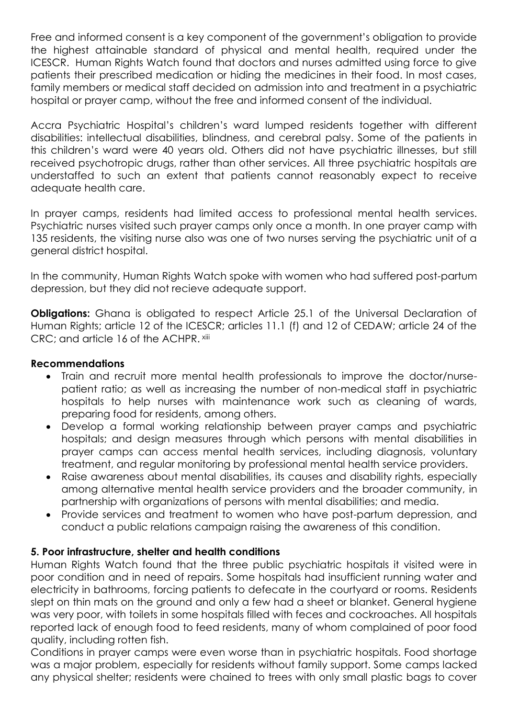Free and informed consent is a key component of the government's obligation to provide the highest attainable standard of physical and mental health, required under the ICESCR. Human Rights Watch found that doctors and nurses admitted using force to give patients their prescribed medication or hiding the medicines in their food. In most cases, family members or medical staff decided on admission into and treatment in a psychiatric hospital or prayer camp, without the free and informed consent of the individual.

Accra Psychiatric Hospital's children's ward lumped residents together with different disabilities: intellectual disabilities, blindness, and cerebral palsy. Some of the patients in this children's ward were 40 years old. Others did not have psychiatric illnesses, but still received psychotropic drugs, rather than other services. All three psychiatric hospitals are understaffed to such an extent that patients cannot reasonably expect to receive adequate health care.

In prayer camps, residents had limited access to professional mental health services. Psychiatric nurses visited such prayer camps only once a month. In one prayer camp with 135 residents, the visiting nurse also was one of two nurses serving the psychiatric unit of a general district hospital.

In the community, Human Rights Watch spoke with women who had suffered post-partum depression, but they did not recieve adequate support.

**Obligations:** Ghana is obligated to respect Article 25.1 of the Universal Declaration of Human Rights; article 12 of the ICESCR; articles 11.1 (f) and 12 of CEDAW; article 24 of the CRC; and article 16 of the ACHPR. xiii

## **Recommendations**

- Train and recruit more mental health professionals to improve the doctor/nursepatient ratio; as well as increasing the number of non-medical staff in psychiatric hospitals to help nurses with maintenance work such as cleaning of wards, preparing food for residents, among others.
- Develop a formal working relationship between prayer camps and psychiatric hospitals; and design measures through which persons with mental disabilities in prayer camps can access mental health services, including diagnosis, voluntary treatment, and regular monitoring by professional mental health service providers.
- Raise awareness about mental disabilities, its causes and disability rights, especially among alternative mental health service providers and the broader community, in partnership with organizations of persons with mental disabilities; and media.
- Provide services and treatment to women who have post-partum depression, and conduct a public relations campaign raising the awareness of this condition.

# **5. Poor infrastructure, shelter and health conditions**

Human Rights Watch found that the three public psychiatric hospitals it visited were in poor condition and in need of repairs. Some hospitals had insufficient running water and electricity in bathrooms, forcing patients to defecate in the courtyard or rooms. Residents slept on thin mats on the ground and only a few had a sheet or blanket. General hygiene was very poor, with toilets in some hospitals filled with feces and cockroaches. All hospitals reported lack of enough food to feed residents, many of whom complained of poor food quality, including rotten fish.

Conditions in prayer camps were even worse than in psychiatric hospitals. Food shortage was a major problem, especially for residents without family support. Some camps lacked any physical shelter; residents were chained to trees with only small plastic bags to cover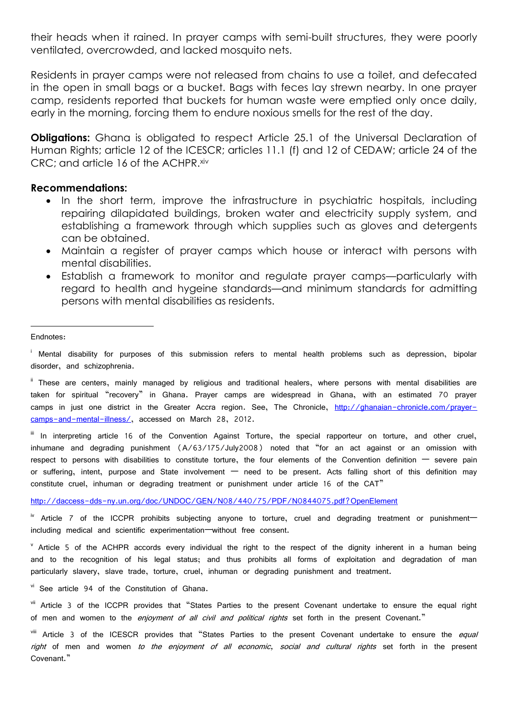their heads when it rained. In prayer camps with semi-built structures, they were poorly ventilated, overcrowded, and lacked mosquito nets.

Residents in prayer camps were not released from chains to use a toilet, and defecated in the open in small bags or a bucket. Bags with feces lay strewn nearby. In one prayer camp, residents reported that buckets for human waste were emptied only once daily, early in the morning, forcing them to endure noxious smells for the rest of the day.

**Obligations:** Ghana is obligated to respect Article 25.1 of the Universal Declaration of Human Rights; article 12 of the ICESCR; articles 11.1 (f) and 12 of CEDAW; article 24 of the CRC; and article 16 of the ACHPR. xiv

#### **Recommendations:**

- In the short term, improve the infrastructure in psychiatric hospitals, including repairing dilapidated buildings, broken water and electricity supply system, and establishing a framework through which supplies such as gloves and detergents can be obtained.
- Maintain a register of prayer camps which house or interact with persons with mental disabilities.
- Establish a framework to monitor and regulate prayer camps—particularly with regard to health and hygeine standards—and minimum standards for admitting persons with mental disabilities as residents.

#### Endnotes:

**.** 

Mental disability for purposes of this submission refers to mental health problems such as depression, bipolar disorder, and schizophrenia.

ii These are centers, mainly managed by religious and traditional healers, where persons with mental disabilities are taken for spiritual "recovery" in Ghana. Prayer camps are widespread in Ghana, with an estimated 70 prayer camps in just one district in the Greater Accra region. See, The Chronicle, [http://ghanaian-chronicle.com/prayer](http://ghanaian-chronicle.com/prayer-camps-and-mental-illness/)[camps-and-mental-illness/,](http://ghanaian-chronicle.com/prayer-camps-and-mental-illness/) accessed on March 28, 2012.

III In interpreting article 16 of the Convention Against Torture, the special rapporteur on torture, and other cruel, inhumane and degrading punishment (A/63/175/July2008) noted that "for an act against or an omission with respect to persons with disabilities to constitute torture, the four elements of the Convention definition  $-$  severe pain or suffering, intent, purpose and State involvement — need to be present. Acts falling short of this definition may constitute cruel, inhuman or degrading treatment or punishment under article 16 of the CAT"

<http://daccess-dds-ny.un.org/doc/UNDOC/GEN/N08/440/75/PDF/N0844075.pdf?OpenElement>

<sup>iv</sup> Article 7 of the ICCPR prohibits subjecting anyone to torture, cruel and degrading treatment or punishment including medical and scientific experimentation—without free consent.

<sup>v</sup> Article 5 of the ACHPR accords every individual the right to the respect of the dignity inherent in a human being and to the recognition of his legal status; and thus prohibits all forms of exploitation and degradation of man particularly slavery, slave trade, torture, cruel, inhuman or degrading punishment and treatment.

vi See article 94 of the Constitution of Ghana.

<sup>vii</sup> Article 3 of the ICCPR provides that "States Parties to the present Covenant undertake to ensure the equal right of men and women to the *enjoyment of all civil and political rights* set forth in the present Covenant."

viii Article 3 of the ICESCR provides that "States Parties to the present Covenant undertake to ensure the equal right of men and women to the enjoyment of all economic, social and cultural rights set forth in the present Covenant."